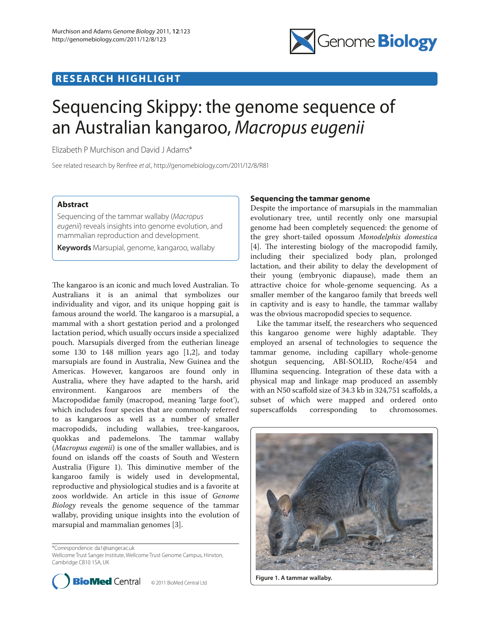

## **RESEARCH HIGHLIGHT**

# Sequencing Skippy: the genome sequence of an Australian kangaroo, *Macropus eugenii*

Elizabeth P Murchison and David J Adams\*

See related research by Renfree *et al*., http://genomebiology.com/2011/12/8/R81

#### **Abstract**

Sequencing of the tammar wallaby (*Macropus eugenii*) reveals insights into genome evolution, and mammalian reproduction and development.

**Keywords** Marsupial, genome, kangaroo, wallaby

The kangaroo is an iconic and much loved Australian. To Australians it is an animal that symbolizes our individuality and vigor, and its unique hopping gait is famous around the world. The kangaroo is a marsupial, a mammal with a short gestation period and a prolonged lactation period, which usually occurs inside a specialized pouch. Marsupials diverged from the eutherian lineage some 130 to 148 million years ago [1,2], and today marsupials are found in Australia, New Guinea and the Americas. However, kangaroos are found only in Australia, where they have adapted to the harsh, arid environment. Kangaroos are members of the Macropodidae family (macropod, meaning 'large foot'), which includes four species that are commonly referred to as kangaroos as well as a number of smaller macropodids, including wallabies, tree-kangaroos, quokkas and pademelons. The tammar wallaby (*Macropus eugenii*) is one of the smaller wallabies, and is found on islands off the coasts of South and Western Australia (Figure 1). This diminutive member of the kangaroo family is widely used in developmental, reproductive and physiological studies and is a favorite at zoos worldwide. An article in this issue of *Genome Biology* reveals the genome sequence of the tammar wallaby, providing unique insights into the evolution of marsupial and mammalian genomes [3].

\*Correspondence: da1@sanger.ac.uk Wellcome Trust Sanger Institute, Wellcome Trust Genome Campus, Hinxton, Cambridge CB10 1SA, UK



## **Sequencing the tammar genome**

Despite the importance of marsupials in the mammalian evolutionary tree, until recently only one marsupial genome had been completely sequenced: the genome of the grey short-tailed opossum *Monodelphis domestica* [4]. The interesting biology of the macropodid family, including their specialized body plan, prolonged lactation, and their ability to delay the development of their young (embryonic diapause), made them an attractive choice for whole-genome sequencing. As a smaller member of the kangaroo family that breeds well in captivity and is easy to handle, the tammar wallaby was the obvious macropodid species to sequence.

Like the tammar itself, the researchers who sequenced this kangaroo genome were highly adaptable. They employed an arsenal of technologies to sequence the tammar genome, including capillary whole-genome shotgun sequencing, ABI-SOLID, Roche/454 and Illumina sequencing. Integration of these data with a physical map and linkage map produced an assembly with an N50 scaffold size of 34.3 kb in 324,751 scaffolds, a subset of which were mapped and ordered onto superscaffolds corresponding to chromosomes.



**Figure 1. A tammar wallaby.**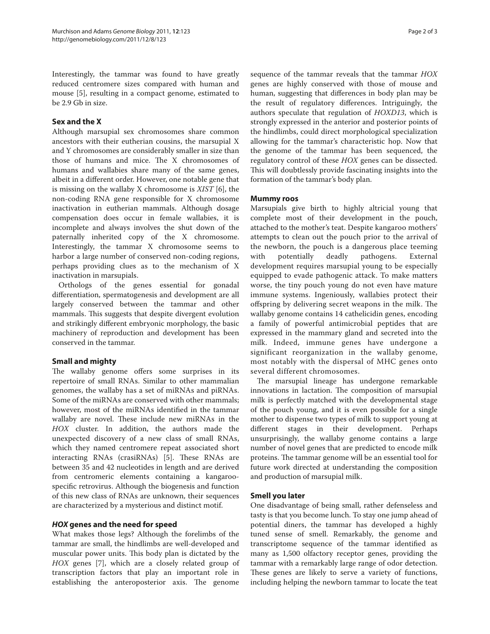Interestingly, the tammar was found to have greatly reduced centromere sizes compared with human and mouse [5], resulting in a compact genome, estimated to be 2.9 Gb in size.

## **Sex and the X**

Although marsupial sex chromosomes share common ancestors with their eutherian cousins, the marsupial X and Y chromosomes are considerably smaller in size than those of humans and mice. The X chromosomes of humans and wallabies share many of the same genes, albeit in a different order. However, one notable gene that is missing on the wallaby X chromosome is *XIST* [6], the non-coding RNA gene responsible for X chromosome inactivation in eutherian mammals. Although dosage compensation does occur in female wallabies, it is incomplete and always involves the shut down of the paternally inherited copy of the X chromosome. Interestingly, the tammar X chromosome seems to harbor a large number of conserved non-coding regions, perhaps providing clues as to the mechanism of X inactivation in marsupials.

Orthologs of the genes essential for gonadal differentiation, spermatogenesis and development are all largely conserved between the tammar and other mammals. This suggests that despite divergent evolution and strikingly different embryonic morphology, the basic machinery of reproduction and development has been conserved in the tammar.

## **Small and mighty**

The wallaby genome offers some surprises in its repertoire of small RNAs. Similar to other mammalian genomes, the wallaby has a set of miRNAs and piRNAs. Some of the miRNAs are conserved with other mammals; however, most of the miRNAs identified in the tammar wallaby are novel. These include new miRNAs in the *HOX* cluster. In addition, the authors made the unexpected discovery of a new class of small RNAs, which they named centromere repeat associated short interacting RNAs (crasiRNAs) [5]. These RNAs are between 35 and 42 nucleotides in length and are derived from centromeric elements containing a kangaroospecific retrovirus. Although the biogenesis and function of this new class of RNAs are unknown, their sequences are characterized by a mysterious and distinct motif.

## *HOX* **genes and the need for speed**

What makes those legs? Although the forelimbs of the tammar are small, the hindlimbs are well-developed and muscular power units. This body plan is dictated by the *HOX* genes [7], which are a closely related group of transcription factors that play an important role in establishing the anteroposterior axis. The genome sequence of the tammar reveals that the tammar *HOX* genes are highly conserved with those of mouse and human, suggesting that differences in body plan may be the result of regulatory differences. Intriguingly, the authors speculate that regulation of *HOXD13*, which is strongly expressed in the anterior and posterior points of the hindlimbs, could direct morphological specialization allowing for the tammar's characteristic hop. Now that the genome of the tammar has been sequenced, the regulatory control of these *HOX* genes can be dissected. This will doubtlessly provide fascinating insights into the formation of the tammar's body plan.

## **Mummy roos**

Marsupials give birth to highly altricial young that complete most of their development in the pouch, attached to the mother's teat. Despite kangaroo mothers' attempts to clean out the pouch prior to the arrival of the newborn, the pouch is a dangerous place teeming<br>with potentially deadly pathogens. External with potentially deadly pathogens. External development requires marsupial young to be especially equipped to evade pathogenic attack. To make matters worse, the tiny pouch young do not even have mature immune systems. Ingeniously, wallabies protect their offspring by delivering secret weapons in the milk. The wallaby genome contains 14 cathelicidin genes, encoding a family of powerful antimicrobial peptides that are expressed in the mammary gland and secreted into the milk. Indeed, immune genes have undergone a significant reorganization in the wallaby genome, most notably with the dispersal of MHC genes onto several different chromosomes.

The marsupial lineage has undergone remarkable innovations in lactation. The composition of marsupial milk is perfectly matched with the developmental stage of the pouch young, and it is even possible for a single mother to dispense two types of milk to support young at different stages in their development. Perhaps unsurprisingly, the wallaby genome contains a large number of novel genes that are predicted to encode milk proteins. The tammar genome will be an essential tool for future work directed at understanding the composition and production of marsupial milk.

## **Smell you later**

One disadvantage of being small, rather defenseless and tasty is that you become lunch. To stay one jump ahead of potential diners, the tammar has developed a highly tuned sense of smell. Remarkably, the genome and transcriptome sequence of the tammar identified as many as 1,500 olfactory receptor genes, providing the tammar with a remarkably large range of odor detection. These genes are likely to serve a variety of functions, including helping the newborn tammar to locate the teat